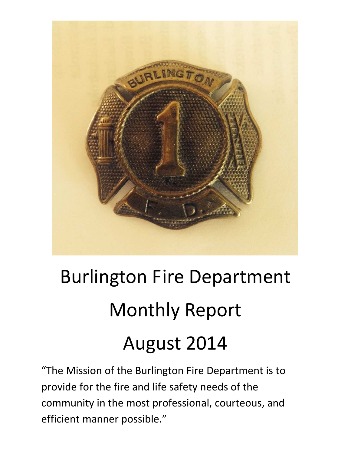

# Burlington Fire Department Monthly Report August 2014

"The Mission of the Burlington Fire Department is to provide for the fire and life safety needs of the community in the most professional, courteous, and efficient manner possible."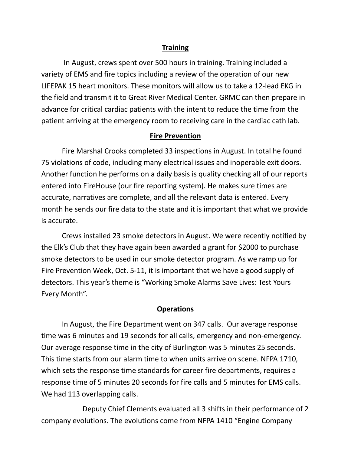#### **Training**

 In August, crews spent over 500 hours in training. Training included a variety of EMS and fire topics including a review of the operation of our new LIFEPAK 15 heart monitors. These monitors will allow us to take a 12-lead EKG in the field and transmit it to Great River Medical Center. GRMC can then prepare in advance for critical cardiac patients with the intent to reduce the time from the patient arriving at the emergency room to receiving care in the cardiac cath lab.

#### **Fire Prevention**

 Fire Marshal Crooks completed 33 inspections in August. In total he found 75 violations of code, including many electrical issues and inoperable exit doors. Another function he performs on a daily basis is quality checking all of our reports entered into FireHouse (our fire reporting system). He makes sure times are accurate, narratives are complete, and all the relevant data is entered. Every month he sends our fire data to the state and it is important that what we provide is accurate.

 Crews installed 23 smoke detectors in August. We were recently notified by the Elk's Club that they have again been awarded a grant for \$2000 to purchase smoke detectors to be used in our smoke detector program. As we ramp up for Fire Prevention Week, Oct. 5-11, it is important that we have a good supply of detectors. This year's theme is "Working Smoke Alarms Save Lives: Test Yours Every Month".

#### **Operations**

In August, the Fire Department went on 347 calls. Our average response time was 6 minutes and 19 seconds for all calls, emergency and non-emergency. Our average response time in the city of Burlington was 5 minutes 25 seconds. This time starts from our alarm time to when units arrive on scene. NFPA 1710, which sets the response time standards for career fire departments, requires a response time of 5 minutes 20 seconds for fire calls and 5 minutes for EMS calls. We had 113 overlapping calls.

 Deputy Chief Clements evaluated all 3 shifts in their performance of 2 company evolutions. The evolutions come from NFPA 1410 "Engine Company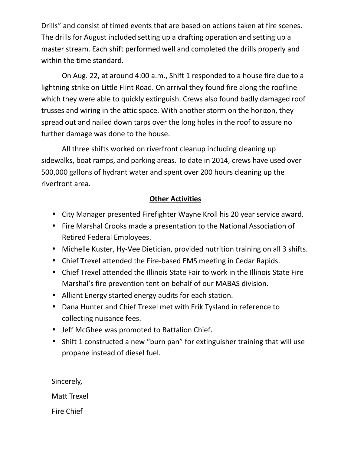Drills" and consist of timed events that are based on actions taken at fire scenes. The drills for August included setting up a drafting operation and setting up a master stream. Each shift performed well and completed the drills properly and within the time standard.

 On Aug. 22, at around 4:00 a.m., Shift 1 responded to a house fire due to a lightning strike on Little Flint Road. On arrival they found fire along the roofline which they were able to quickly extinguish. Crews also found badly damaged roof trusses and wiring in the attic space. With another storm on the horizon, they spread out and nailed down tarps over the long holes in the roof to assure no further damage was done to the house.

 All three shifts worked on riverfront cleanup including cleaning up sidewalks, boat ramps, and parking areas. To date in 2014, crews have used over 500,000 gallons of hydrant water and spent over 200 hours cleaning up the riverfront area.

# **Other Activities**

- City Manager presented Firefighter Wayne Kroll his 20 year service award.
- Fire Marshal Crooks made a presentation to the National Association of Retired Federal Employees.
- Michelle Kuster, Hy-Vee Dietician, provided nutrition training on all 3 shifts.
- Chief Trexel attended the Fire-based EMS meeting in Cedar Rapids.
- Chief Trexel attended the Illinois State Fair to work in the Illinois State Fire Marshal's fire prevention tent on behalf of our MABAS division.
- Alliant Energy started energy audits for each station.
- Dana Hunter and Chief Trexel met with Erik Tysland in reference to collecting nuisance fees.
- Jeff McGhee was promoted to Battalion Chief.
- Shift 1 constructed a new "burn pan" for extinguisher training that will use propane instead of diesel fuel.

Sincerely,

Matt Trexel

Fire Chief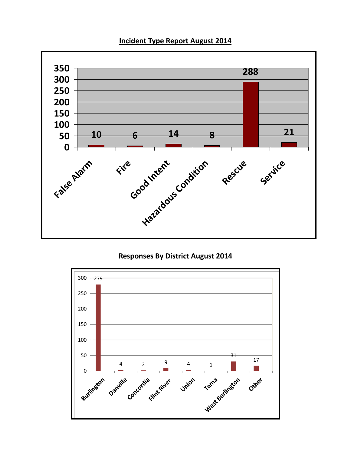### **Incident Type Report August 2014**



# **Responses By District August 2014**